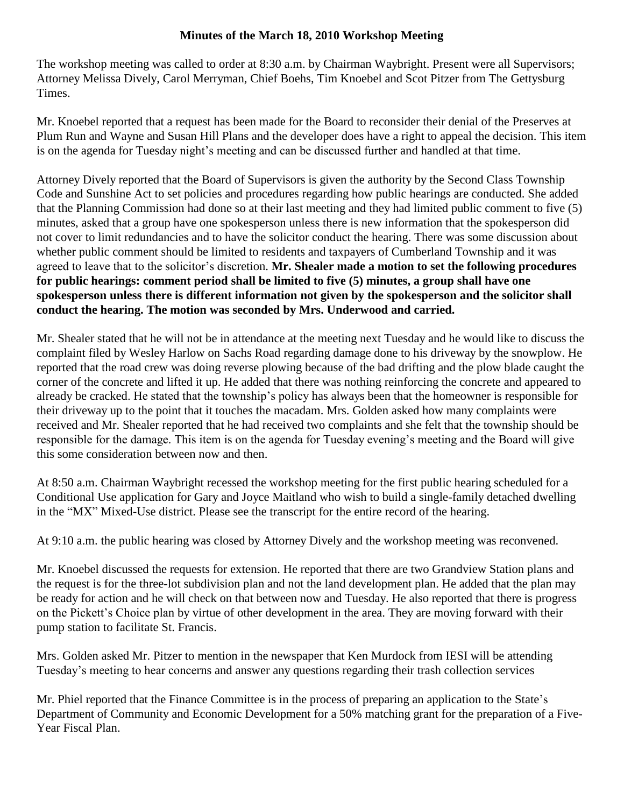## **Minutes of the March 18, 2010 Workshop Meeting**

The workshop meeting was called to order at 8:30 a.m. by Chairman Waybright. Present were all Supervisors; Attorney Melissa Dively, Carol Merryman, Chief Boehs, Tim Knoebel and Scot Pitzer from The Gettysburg Times.

Mr. Knoebel reported that a request has been made for the Board to reconsider their denial of the Preserves at Plum Run and Wayne and Susan Hill Plans and the developer does have a right to appeal the decision. This item is on the agenda for Tuesday night's meeting and can be discussed further and handled at that time.

Attorney Dively reported that the Board of Supervisors is given the authority by the Second Class Township Code and Sunshine Act to set policies and procedures regarding how public hearings are conducted. She added that the Planning Commission had done so at their last meeting and they had limited public comment to five (5) minutes, asked that a group have one spokesperson unless there is new information that the spokesperson did not cover to limit redundancies and to have the solicitor conduct the hearing. There was some discussion about whether public comment should be limited to residents and taxpayers of Cumberland Township and it was agreed to leave that to the solicitor's discretion. **Mr. Shealer made a motion to set the following procedures for public hearings: comment period shall be limited to five (5) minutes, a group shall have one spokesperson unless there is different information not given by the spokesperson and the solicitor shall conduct the hearing. The motion was seconded by Mrs. Underwood and carried.** 

Mr. Shealer stated that he will not be in attendance at the meeting next Tuesday and he would like to discuss the complaint filed by Wesley Harlow on Sachs Road regarding damage done to his driveway by the snowplow. He reported that the road crew was doing reverse plowing because of the bad drifting and the plow blade caught the corner of the concrete and lifted it up. He added that there was nothing reinforcing the concrete and appeared to already be cracked. He stated that the township's policy has always been that the homeowner is responsible for their driveway up to the point that it touches the macadam. Mrs. Golden asked how many complaints were received and Mr. Shealer reported that he had received two complaints and she felt that the township should be responsible for the damage. This item is on the agenda for Tuesday evening's meeting and the Board will give this some consideration between now and then.

At 8:50 a.m. Chairman Waybright recessed the workshop meeting for the first public hearing scheduled for a Conditional Use application for Gary and Joyce Maitland who wish to build a single-family detached dwelling in the "MX" Mixed-Use district. Please see the transcript for the entire record of the hearing.

At 9:10 a.m. the public hearing was closed by Attorney Dively and the workshop meeting was reconvened.

Mr. Knoebel discussed the requests for extension. He reported that there are two Grandview Station plans and the request is for the three-lot subdivision plan and not the land development plan. He added that the plan may be ready for action and he will check on that between now and Tuesday. He also reported that there is progress on the Pickett's Choice plan by virtue of other development in the area. They are moving forward with their pump station to facilitate St. Francis.

Mrs. Golden asked Mr. Pitzer to mention in the newspaper that Ken Murdock from IESI will be attending Tuesday's meeting to hear concerns and answer any questions regarding their trash collection services

Mr. Phiel reported that the Finance Committee is in the process of preparing an application to the State's Department of Community and Economic Development for a 50% matching grant for the preparation of a Five-Year Fiscal Plan.